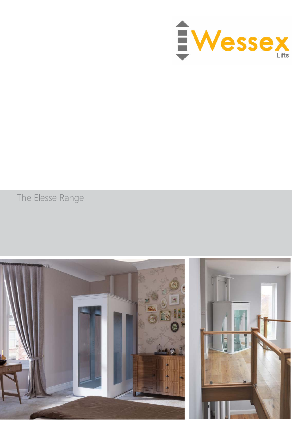

The Elesse Range

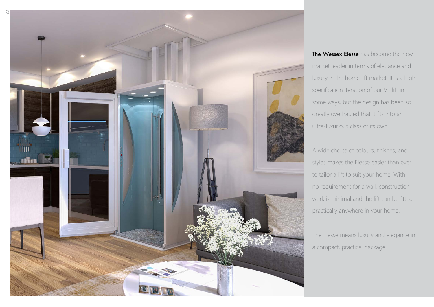The Wessex Elesse has become the new market leader in terms of elegance and luxury in the home lift market. It is a high specification iteration of our VE lift in some ways, but the design has been so greatly overhauled that it fits into an ultra-luxurious class of its own.



A wide choice of colours, finishes, and styles makes the Elesse easier than ever to tailor a lift to suit your home. With no requirement for a wall, construction work is minimal and the lift can be fitted practically anywhere in your home.

The Elesse means luxury and elegance in a compact, practical package.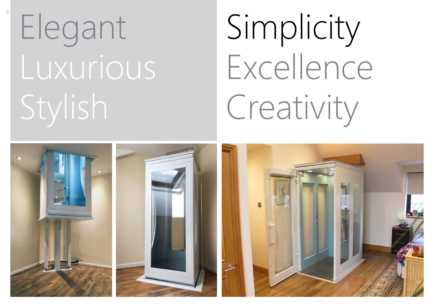# Elegant Luxurious Stylish

# Simplicity Excellence Creativity

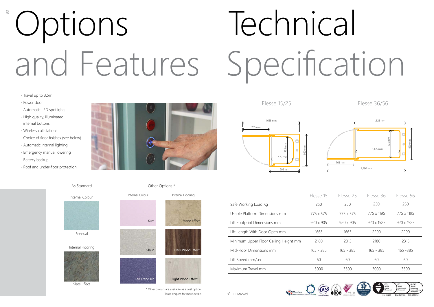- Travel up to 3.5m
- Power door
- Automatic LED spotlights
- High quality, illuminated internal buttons
- Wireless call stations
- Choice of floor finishes (see below)
- Automatic internal lighting
- Emergency manual lowering
- Battery backup
- Roof and under-floor protection



|                                       | Elesse 15   | Elesse 25   | Elesse 36   | Elesse 56  |
|---------------------------------------|-------------|-------------|-------------|------------|
| Safe Working Load Kg                  | 250         | 250         | 250         | 250        |
| Usable Platform Dimensions mm         | 775 x 575   | 775 x 575   | 775 x 1195  | 775 x 1195 |
| Lift Footprint Dimensions mm          | 920 x 905   | 920 x 905   | 920 x 1525  | 920 x 1525 |
| Lift Length With Door Open mm         | 1665        | 1665        | 2290        | 2290       |
| Minimum Upper Floor Ceiling Height mm | 2180        | 2315        | 2180        | 2315       |
| Mid-Floor Dimensions mm               | $165 - 385$ | $165 - 385$ | $165 - 385$ | 165 - 385  |
| Lift Speed mm/sec                     | 60          | 60          | 60          | 60         |
| Maximum Travel mm                     | 3000        | 3500        | 3000        | 3500       |



 $\checkmark$  CF Marked

## <sup>\*</sup> Options and Features Technical Specification 760 mm









905 mm Elesse 15/25 Elesse 36/56



As Standard

\* Other colours are available as a cost option. Please enquire for more details